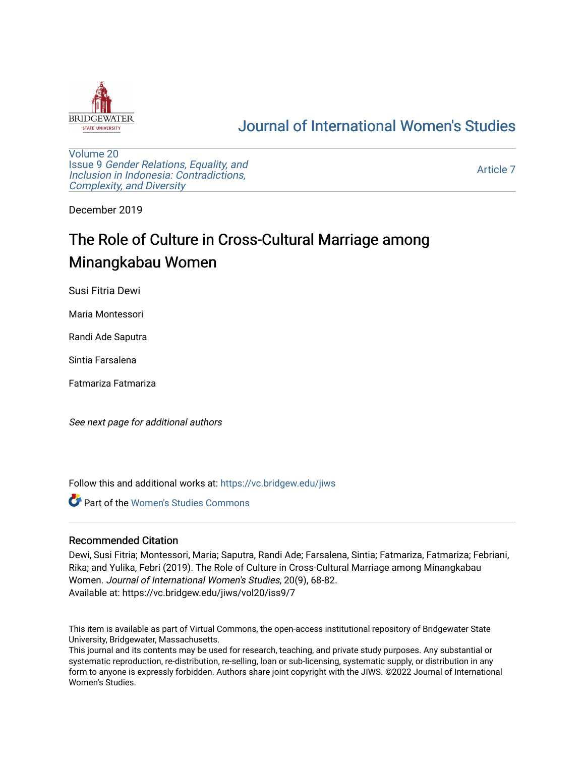

# [Journal of International Women's Studies](https://vc.bridgew.edu/jiws)

[Volume 20](https://vc.bridgew.edu/jiws/vol20) Issue 9 [Gender Relations, Equality, and](https://vc.bridgew.edu/jiws/vol20/iss9) [Inclusion in Indonesia: Contradictions,](https://vc.bridgew.edu/jiws/vol20/iss9) [Complexity, and Diversity](https://vc.bridgew.edu/jiws/vol20/iss9) 

[Article 7](https://vc.bridgew.edu/jiws/vol20/iss9/7) 

December 2019

# The Role of Culture in Cross-Cultural Marriage among Minangkabau Women

Susi Fitria Dewi

Maria Montessori

Randi Ade Saputra

Sintia Farsalena

Fatmariza Fatmariza

See next page for additional authors

Follow this and additional works at: [https://vc.bridgew.edu/jiws](https://vc.bridgew.edu/jiws?utm_source=vc.bridgew.edu%2Fjiws%2Fvol20%2Fiss9%2F7&utm_medium=PDF&utm_campaign=PDFCoverPages)

**C** Part of the Women's Studies Commons

#### Recommended Citation

Dewi, Susi Fitria; Montessori, Maria; Saputra, Randi Ade; Farsalena, Sintia; Fatmariza, Fatmariza; Febriani, Rika; and Yulika, Febri (2019). The Role of Culture in Cross-Cultural Marriage among Minangkabau Women. Journal of International Women's Studies, 20(9), 68-82. Available at: https://vc.bridgew.edu/jiws/vol20/iss9/7

This item is available as part of Virtual Commons, the open-access institutional repository of Bridgewater State University, Bridgewater, Massachusetts.

This journal and its contents may be used for research, teaching, and private study purposes. Any substantial or systematic reproduction, re-distribution, re-selling, loan or sub-licensing, systematic supply, or distribution in any form to anyone is expressly forbidden. Authors share joint copyright with the JIWS. ©2022 Journal of International Women's Studies.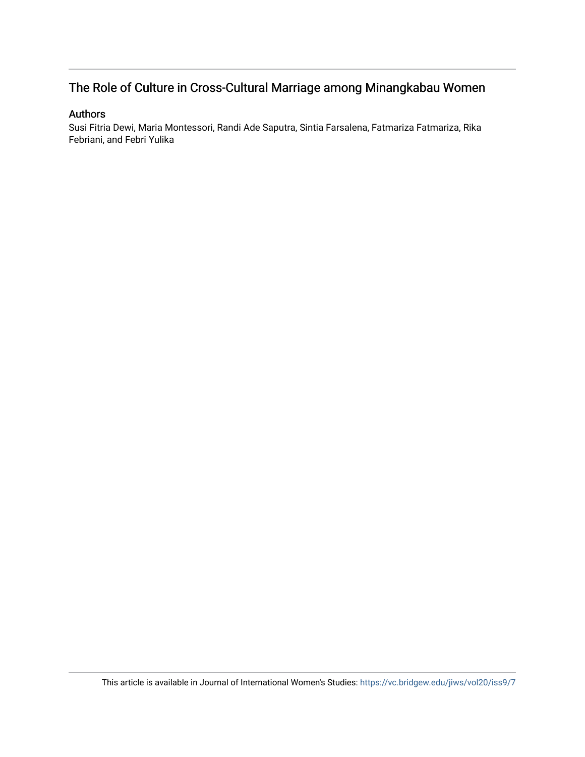# The Role of Culture in Cross-Cultural Marriage among Minangkabau Women

## Authors

Susi Fitria Dewi, Maria Montessori, Randi Ade Saputra, Sintia Farsalena, Fatmariza Fatmariza, Rika Febriani, and Febri Yulika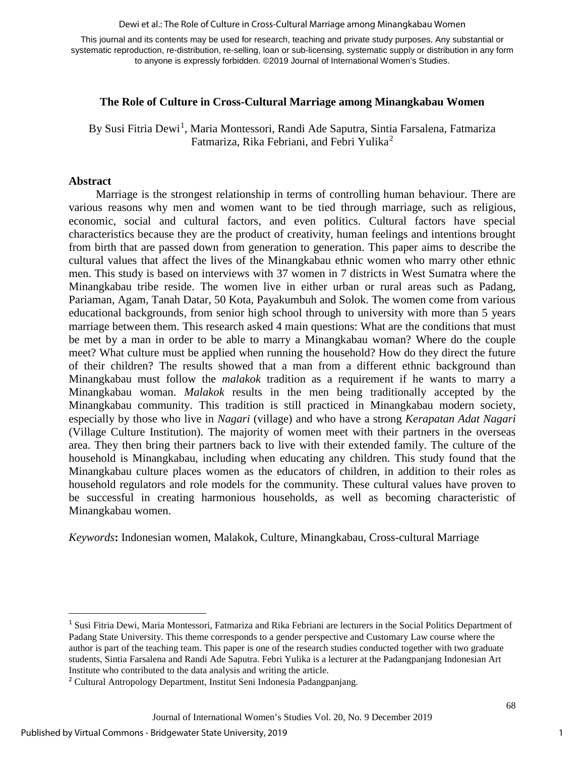#### Dewi et al.: The Role of Culture in Cross-Cultural Marriage among Minangkabau Women

This journal and its contents may be used for research, teaching and private study purposes. Any substantial or systematic reproduction, re-distribution, re-selling, loan or sub-licensing, systematic supply or distribution in any form to anyone is expressly forbidden. ©2019 Journal of International Women's Studies.

# **The Role of Culture in Cross-Cultural Marriage among Minangkabau Women**

By Susi Fitria Dewi<sup>[1](#page-2-0)</sup>, Maria Montessori, Randi Ade Saputra, Sintia Farsalena, Fatmariza Fatmariza, Rika Febriani, and Febri Yulika<sup>[2](#page-2-1)</sup>

#### **Abstract**

 $\overline{\phantom{a}}$ 

Marriage is the strongest relationship in terms of controlling human behaviour. There are various reasons why men and women want to be tied through marriage, such as religious, economic, social and cultural factors, and even politics. Cultural factors have special characteristics because they are the product of creativity, human feelings and intentions brought from birth that are passed down from generation to generation. This paper aims to describe the cultural values that affect the lives of the Minangkabau ethnic women who marry other ethnic men. This study is based on interviews with 37 women in 7 districts in West Sumatra where the Minangkabau tribe reside. The women live in either urban or rural areas such as Padang, Pariaman, Agam, Tanah Datar, 50 Kota, Payakumbuh and Solok. The women come from various educational backgrounds, from senior high school through to university with more than 5 years marriage between them. This research asked 4 main questions: What are the conditions that must be met by a man in order to be able to marry a Minangkabau woman? Where do the couple meet? What culture must be applied when running the household? How do they direct the future of their children? The results showed that a man from a different ethnic background than Minangkabau must follow the *malakok* tradition as a requirement if he wants to marry a Minangkabau woman. *Malakok* results in the men being traditionally accepted by the Minangkabau community. This tradition is still practiced in Minangkabau modern society, especially by those who live in *Nagari* (village) and who have a strong *Kerapatan Adat Nagari* (Village Culture Institution). The majority of women meet with their partners in the overseas area. They then bring their partners back to live with their extended family. The culture of the household is Minangkabau, including when educating any children. This study found that the Minangkabau culture places women as the educators of children, in addition to their roles as household regulators and role models for the community. These cultural values have proven to be successful in creating harmonious households, as well as becoming characteristic of Minangkabau women.

*Keywords***:** Indonesian women, Malakok, Culture, Minangkabau, Cross-cultural Marriage

1

<span id="page-2-0"></span><sup>&</sup>lt;sup>1</sup> Susi Fitria Dewi, Maria Montessori, Fatmariza and Rika Febriani are lecturers in the Social Politics Department of Padang State University. This theme corresponds to a gender perspective and Customary Law course where the author is part of the teaching team. This paper is one of the research studies conducted together with two graduate students, Sintia Farsalena and Randi Ade Saputra. Febri Yulika is a lecturer at the Padangpanjang Indonesian Art Institute who contributed to the data analysis and writing the article.

<span id="page-2-1"></span><sup>2</sup> Cultural Antropology Department, Institut Seni Indonesia Padangpanjang.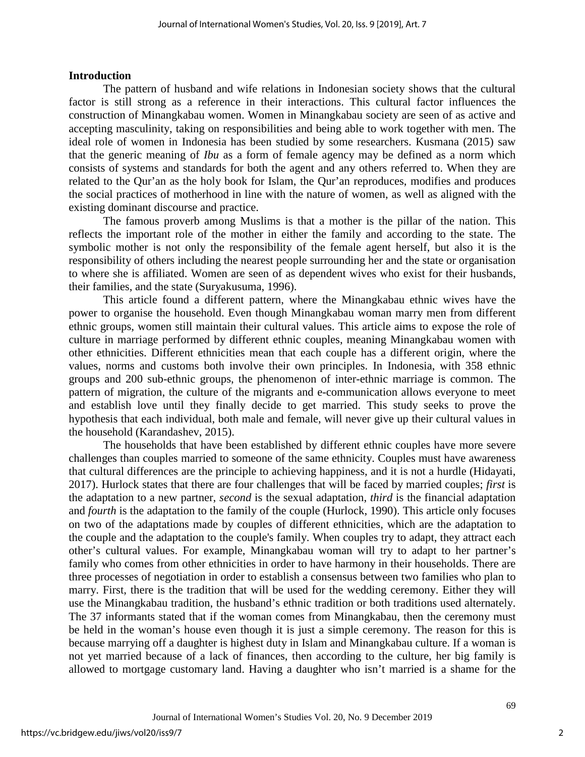# **Introduction**

The pattern of husband and wife relations in Indonesian society shows that the cultural factor is still strong as a reference in their interactions. This cultural factor influences the construction of Minangkabau women. Women in Minangkabau society are seen of as active and accepting masculinity, taking on responsibilities and being able to work together with men. The ideal role of women in Indonesia has been studied by some researchers. Kusmana (2015) saw that the generic meaning of *Ibu* as a form of female agency may be defined as a norm which consists of systems and standards for both the agent and any others referred to. When they are related to the Qur'an as the holy book for Islam, the Qur'an reproduces, modifies and produces the social practices of motherhood in line with the nature of women, as well as aligned with the existing dominant discourse and practice.

The famous proverb among Muslims is that a mother is the pillar of the nation. This reflects the important role of the mother in either the family and according to the state. The symbolic mother is not only the responsibility of the female agent herself, but also it is the responsibility of others including the nearest people surrounding her and the state or organisation to where she is affiliated. Women are seen of as dependent wives who exist for their husbands, their families, and the state (Suryakusuma, 1996).

This article found a different pattern, where the Minangkabau ethnic wives have the power to organise the household. Even though Minangkabau woman marry men from different ethnic groups, women still maintain their cultural values. This article aims to expose the role of culture in marriage performed by different ethnic couples, meaning Minangkabau women with other ethnicities. Different ethnicities mean that each couple has a different origin, where the values, norms and customs both involve their own principles. In Indonesia, with 358 ethnic groups and 200 sub-ethnic groups, the phenomenon of inter-ethnic marriage is common. The pattern of migration, the culture of the migrants and e-communication allows everyone to meet and establish love until they finally decide to get married. This study seeks to prove the hypothesis that each individual, both male and female, will never give up their cultural values in the household (Karandashev, 2015).

The households that have been established by different ethnic couples have more severe challenges than couples married to someone of the same ethnicity. Couples must have awareness that cultural differences are the principle to achieving happiness, and it is not a hurdle (Hidayati, 2017). Hurlock states that there are four challenges that will be faced by married couples; *first* is the adaptation to a new partner, *second* is the sexual adaptation, *third* is the financial adaptation and *fourth* is the adaptation to the family of the couple (Hurlock, 1990). This article only focuses on two of the adaptations made by couples of different ethnicities, which are the adaptation to the couple and the adaptation to the couple's family. When couples try to adapt, they attract each other's cultural values. For example, Minangkabau woman will try to adapt to her partner's family who comes from other ethnicities in order to have harmony in their households. There are three processes of negotiation in order to establish a consensus between two families who plan to marry. First, there is the tradition that will be used for the wedding ceremony. Either they will use the Minangkabau tradition, the husband's ethnic tradition or both traditions used alternately. The 37 informants stated that if the woman comes from Minangkabau, then the ceremony must be held in the woman's house even though it is just a simple ceremony. The reason for this is because marrying off a daughter is highest duty in Islam and Minangkabau culture. If a woman is not yet married because of a lack of finances, then according to the culture, her big family is allowed to mortgage customary land. Having a daughter who isn't married is a shame for the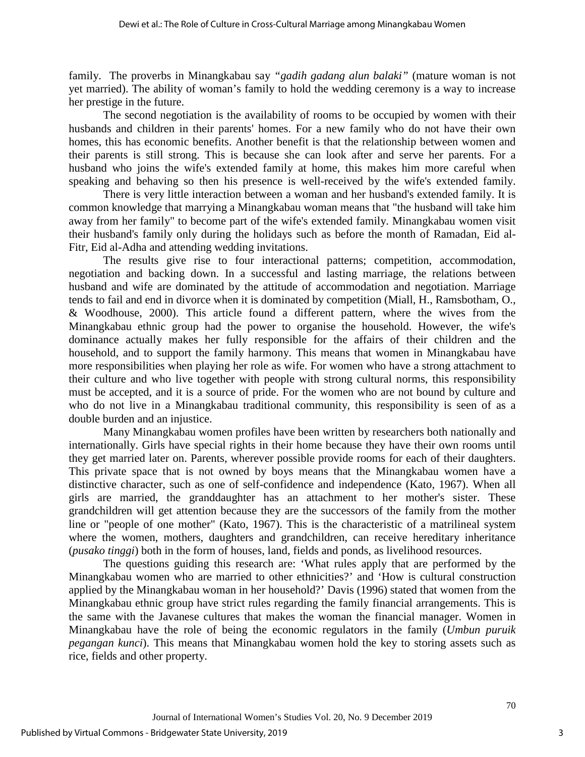family. The proverbs in Minangkabau say *"gadih gadang alun balaki"* (mature woman is not yet married). The ability of woman's family to hold the wedding ceremony is a way to increase her prestige in the future.

The second negotiation is the availability of rooms to be occupied by women with their husbands and children in their parents' homes. For a new family who do not have their own homes, this has economic benefits. Another benefit is that the relationship between women and their parents is still strong. This is because she can look after and serve her parents. For a husband who joins the wife's extended family at home, this makes him more careful when speaking and behaving so then his presence is well-received by the wife's extended family.

There is very little interaction between a woman and her husband's extended family. It is common knowledge that marrying a Minangkabau woman means that "the husband will take him away from her family" to become part of the wife's extended family. Minangkabau women visit their husband's family only during the holidays such as before the month of Ramadan, Eid al-Fitr, Eid al-Adha and attending wedding invitations.

The results give rise to four interactional patterns; competition, accommodation, negotiation and backing down. In a successful and lasting marriage, the relations between husband and wife are dominated by the attitude of accommodation and negotiation. Marriage tends to fail and end in divorce when it is dominated by competition (Miall, H., Ramsbotham, O., & Woodhouse, 2000). This article found a different pattern, where the wives from the Minangkabau ethnic group had the power to organise the household. However, the wife's dominance actually makes her fully responsible for the affairs of their children and the household, and to support the family harmony. This means that women in Minangkabau have more responsibilities when playing her role as wife. For women who have a strong attachment to their culture and who live together with people with strong cultural norms, this responsibility must be accepted, and it is a source of pride. For the women who are not bound by culture and who do not live in a Minangkabau traditional community, this responsibility is seen of as a double burden and an injustice.

Many Minangkabau women profiles have been written by researchers both nationally and internationally. Girls have special rights in their home because they have their own rooms until they get married later on. Parents, wherever possible provide rooms for each of their daughters. This private space that is not owned by boys means that the Minangkabau women have a distinctive character, such as one of self-confidence and independence (Kato, 1967). When all girls are married, the granddaughter has an attachment to her mother's sister. These grandchildren will get attention because they are the successors of the family from the mother line or "people of one mother" (Kato, 1967). This is the characteristic of a matrilineal system where the women, mothers, daughters and grandchildren, can receive hereditary inheritance (*pusako tinggi*) both in the form of houses, land, fields and ponds, as livelihood resources.

The questions guiding this research are: 'What rules apply that are performed by the Minangkabau women who are married to other ethnicities?' and 'How is cultural construction applied by the Minangkabau woman in her household?' Davis (1996) stated that women from the Minangkabau ethnic group have strict rules regarding the family financial arrangements. This is the same with the Javanese cultures that makes the woman the financial manager. Women in Minangkabau have the role of being the economic regulators in the family (*Umbun puruik pegangan kunci*). This means that Minangkabau women hold the key to storing assets such as rice, fields and other property.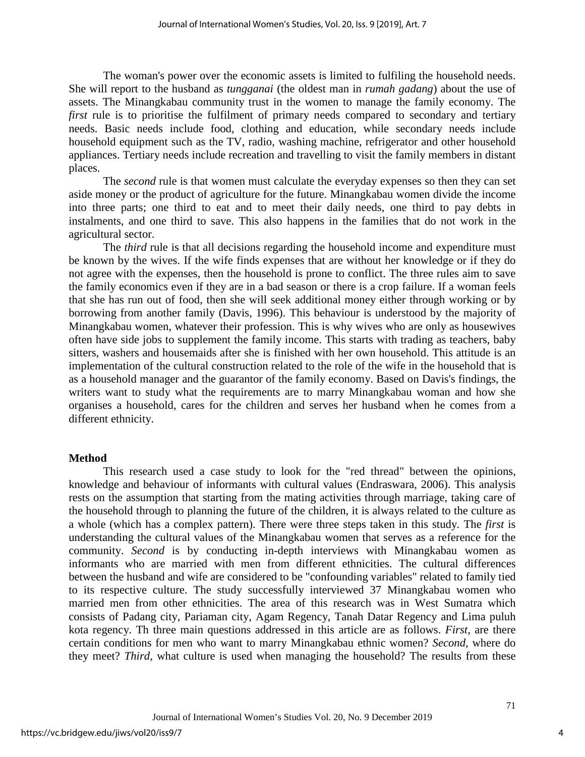The woman's power over the economic assets is limited to fulfiling the household needs. She will report to the husband as *tungganai* (the oldest man in *rumah gadang*) about the use of assets. The Minangkabau community trust in the women to manage the family economy. The *first* rule is to prioritise the fulfilment of primary needs compared to secondary and tertiary needs. Basic needs include food, clothing and education, while secondary needs include household equipment such as the TV, radio, washing machine, refrigerator and other household appliances. Tertiary needs include recreation and travelling to visit the family members in distant places.

The *second* rule is that women must calculate the everyday expenses so then they can set aside money or the product of agriculture for the future. Minangkabau women divide the income into three parts; one third to eat and to meet their daily needs, one third to pay debts in instalments, and one third to save. This also happens in the families that do not work in the agricultural sector.

The *third* rule is that all decisions regarding the household income and expenditure must be known by the wives. If the wife finds expenses that are without her knowledge or if they do not agree with the expenses, then the household is prone to conflict. The three rules aim to save the family economics even if they are in a bad season or there is a crop failure. If a woman feels that she has run out of food, then she will seek additional money either through working or by borrowing from another family (Davis, 1996). This behaviour is understood by the majority of Minangkabau women, whatever their profession. This is why wives who are only as housewives often have side jobs to supplement the family income. This starts with trading as teachers, baby sitters, washers and housemaids after she is finished with her own household. This attitude is an implementation of the cultural construction related to the role of the wife in the household that is as a household manager and the guarantor of the family economy. Based on Davis's findings, the writers want to study what the requirements are to marry Minangkabau woman and how she organises a household, cares for the children and serves her husband when he comes from a different ethnicity.

#### **Method**

This research used a case study to look for the "red thread" between the opinions, knowledge and behaviour of informants with cultural values (Endraswara, 2006). This analysis rests on the assumption that starting from the mating activities through marriage, taking care of the household through to planning the future of the children, it is always related to the culture as a whole (which has a complex pattern). There were three steps taken in this study*.* The *first* is understanding the cultural values of the Minangkabau women that serves as a reference for the community. *Second* is by conducting in-depth interviews with Minangkabau women as informants who are married with men from different ethnicities. The cultural differences between the husband and wife are considered to be "confounding variables" related to family tied to its respective culture. The study successfully interviewed 37 Minangkabau women who married men from other ethnicities. The area of this research was in West Sumatra which consists of Padang city, Pariaman city, Agam Regency, Tanah Datar Regency and Lima puluh kota regency. Th three main questions addressed in this article are as follows. *First,* are there certain conditions for men who want to marry Minangkabau ethnic women? *Second,* where do they meet? *Third,* what culture is used when managing the household? The results from these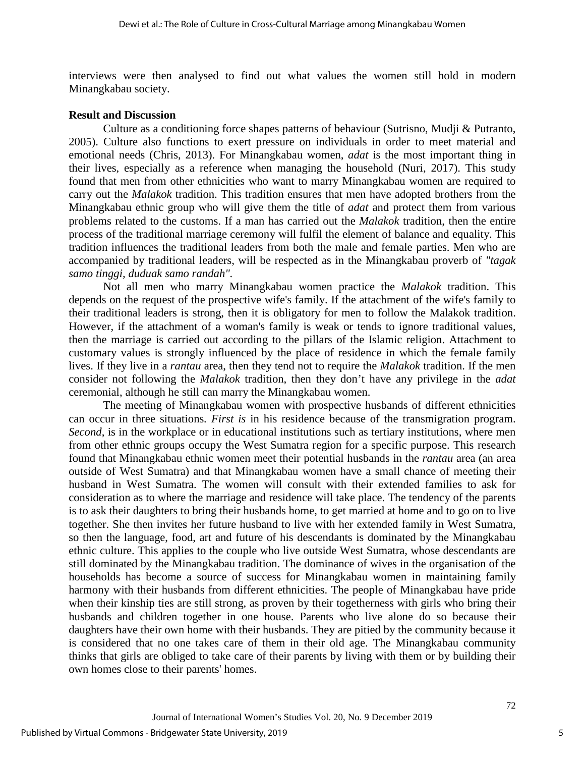interviews were then analysed to find out what values the women still hold in modern Minangkabau society.

#### **Result and Discussion**

Culture as a conditioning force shapes patterns of behaviour (Sutrisno, Mudji & Putranto, 2005). Culture also functions to exert pressure on individuals in order to meet material and emotional needs (Chris, 2013). For Minangkabau women, *adat* is the most important thing in their lives, especially as a reference when managing the household (Nuri, 2017). This study found that men from other ethnicities who want to marry Minangkabau women are required to carry out the *Malakok* tradition. This tradition ensures that men have adopted brothers from the Minangkabau ethnic group who will give them the title of *adat* and protect them from various problems related to the customs. If a man has carried out the *Malakok* tradition, then the entire process of the traditional marriage ceremony will fulfil the element of balance and equality. This tradition influences the traditional leaders from both the male and female parties. Men who are accompanied by traditional leaders, will be respected as in the Minangkabau proverb of *"tagak samo tinggi, duduak samo randah".* 

Not all men who marry Minangkabau women practice the *Malakok* tradition. This depends on the request of the prospective wife's family. If the attachment of the wife's family to their traditional leaders is strong, then it is obligatory for men to follow the Malakok tradition. However, if the attachment of a woman's family is weak or tends to ignore traditional values, then the marriage is carried out according to the pillars of the Islamic religion. Attachment to customary values is strongly influenced by the place of residence in which the female family lives. If they live in a *rantau* area, then they tend not to require the *Malakok* tradition. If the men consider not following the *Malakok* tradition, then they don't have any privilege in the *adat*  ceremonial, although he still can marry the Minangkabau women.

The meeting of Minangkabau women with prospective husbands of different ethnicities can occur in three situations*. First is* in his residence because of the transmigration program. *Second*, is in the workplace or in educational institutions such as tertiary institutions, where men from other ethnic groups occupy the West Sumatra region for a specific purpose. This research found that Minangkabau ethnic women meet their potential husbands in the *rantau* area (an area outside of West Sumatra) and that Minangkabau women have a small chance of meeting their husband in West Sumatra. The women will consult with their extended families to ask for consideration as to where the marriage and residence will take place. The tendency of the parents is to ask their daughters to bring their husbands home, to get married at home and to go on to live together. She then invites her future husband to live with her extended family in West Sumatra, so then the language, food, art and future of his descendants is dominated by the Minangkabau ethnic culture. This applies to the couple who live outside West Sumatra, whose descendants are still dominated by the Minangkabau tradition. The dominance of wives in the organisation of the households has become a source of success for Minangkabau women in maintaining family harmony with their husbands from different ethnicities. The people of Minangkabau have pride when their kinship ties are still strong, as proven by their togetherness with girls who bring their husbands and children together in one house. Parents who live alone do so because their daughters have their own home with their husbands. They are pitied by the community because it is considered that no one takes care of them in their old age. The Minangkabau community thinks that girls are obliged to take care of their parents by living with them or by building their own homes close to their parents' homes.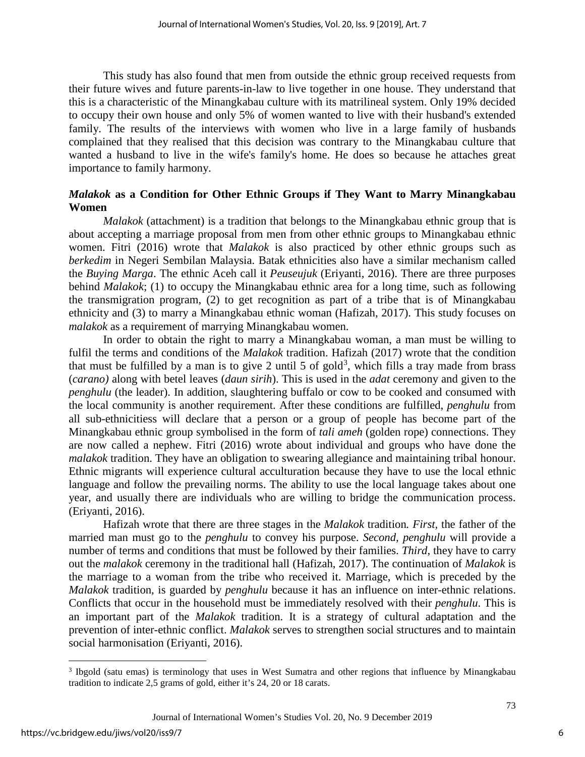This study has also found that men from outside the ethnic group received requests from their future wives and future parents-in-law to live together in one house. They understand that this is a characteristic of the Minangkabau culture with its matrilineal system. Only 19% decided to occupy their own house and only 5% of women wanted to live with their husband's extended family. The results of the interviews with women who live in a large family of husbands complained that they realised that this decision was contrary to the Minangkabau culture that wanted a husband to live in the wife's family's home. He does so because he attaches great importance to family harmony.

# *Malakok* **as a Condition for Other Ethnic Groups if They Want to Marry Minangkabau Women**

*Malakok* (attachment) is a tradition that belongs to the Minangkabau ethnic group that is about accepting a marriage proposal from men from other ethnic groups to Minangkabau ethnic women. Fitri (2016) wrote that *Malakok* is also practiced by other ethnic groups such as *berkedim* in Negeri Sembilan Malaysia. Batak ethnicities also have a similar mechanism called the *Buying Marga*. The ethnic Aceh call it *Peuseujuk* (Eriyanti, 2016). There are three purposes behind *Malakok*; (1) to occupy the Minangkabau ethnic area for a long time, such as following the transmigration program, (2) to get recognition as part of a tribe that is of Minangkabau ethnicity and (3) to marry a Minangkabau ethnic woman (Hafizah, 2017). This study focuses on *malakok* as a requirement of marrying Minangkabau women.

In order to obtain the right to marry a Minangkabau woman, a man must be willing to fulfil the terms and conditions of the *Malakok* tradition. Hafizah (2017) wrote that the condition that must be fulfilled by a man is to give 2 until 5 of gold<sup>[3](#page-7-0)</sup>, which fills a tray made from brass (*carano)* along with betel leaves (*daun sirih*). This is used in the *adat* ceremony and given to the *penghulu* (the leader). In addition, slaughtering buffalo or cow to be cooked and consumed with the local community is another requirement. After these conditions are fulfilled, *penghulu* from all sub-ethnicitiess will declare that a person or a group of people has become part of the Minangkabau ethnic group symbolised in the form of *tali ameh* (golden rope) connections. They are now called a nephew. Fitri (2016) wrote about individual and groups who have done the *malakok* tradition. They have an obligation to swearing allegiance and maintaining tribal honour. Ethnic migrants will experience cultural acculturation because they have to use the local ethnic language and follow the prevailing norms. The ability to use the local language takes about one year, and usually there are individuals who are willing to bridge the communication process. (Eriyanti, 2016).

Hafizah wrote that there are three stages in the *Malakok* tradition*. First,* the father of the married man must go to the *penghulu* to convey his purpose. *Second, penghulu* will provide a number of terms and conditions that must be followed by their families. *Third*, they have to carry out the *malakok* ceremony in the traditional hall (Hafizah, 2017). The continuation of *Malakok* is the marriage to a woman from the tribe who received it. Marriage, which is preceded by the *Malakok* tradition, is guarded by *penghulu* because it has an influence on inter-ethnic relations. Conflicts that occur in the household must be immediately resolved with their *penghulu*. This is an important part of the *Malakok* tradition. It is a strategy of cultural adaptation and the prevention of inter-ethnic conflict. *Malakok* serves to strengthen social structures and to maintain social harmonisation (Eriyanti, 2016).

l

<span id="page-7-0"></span><sup>3</sup> Ibgold (satu emas) is terminology that uses in West Sumatra and other regions that influence by Minangkabau tradition to indicate 2,5 grams of gold, either it's 24, 20 or 18 carats.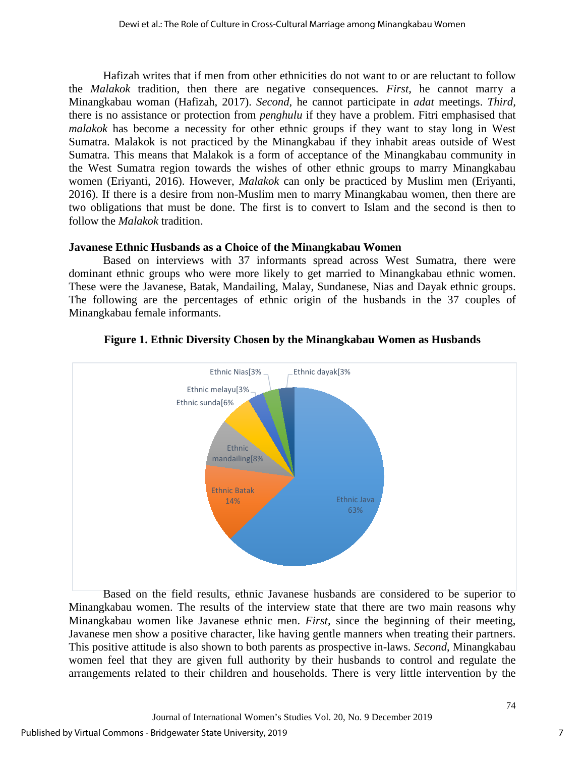Hafizah writes that if men from other ethnicities do not want to or are reluctant to follow the *Malakok* tradition, then there are negative consequences*. First,* he cannot marry a Minangkabau woman (Hafizah, 2017). *Second*, he cannot participate in *adat* meetings. *Third,* there is no assistance or protection from *penghulu* if they have a problem. Fitri emphasised that *malakok* has become a necessity for other ethnic groups if they want to stay long in West Sumatra. Malakok is not practiced by the Minangkabau if they inhabit areas outside of West Sumatra. This means that Malakok is a form of acceptance of the Minangkabau community in the West Sumatra region towards the wishes of other ethnic groups to marry Minangkabau women (Eriyanti, 2016). However, *Malakok* can only be practiced by Muslim men (Eriyanti, 2016). If there is a desire from non-Muslim men to marry Minangkabau women, then there are two obligations that must be done. The first is to convert to Islam and the second is then to follow the *Malakok* tradition.

# **Javanese Ethnic Husbands as a Choice of the Minangkabau Women**

Based on interviews with 37 informants spread across West Sumatra, there were dominant ethnic groups who were more likely to get married to Minangkabau ethnic women. These were the Javanese, Batak, Mandailing, Malay, Sundanese, Nias and Dayak ethnic groups. The following are the percentages of ethnic origin of the husbands in the 37 couples of Minangkabau female informants.



# **Figure 1. Ethnic Diversity Chosen by the Minangkabau Women as Husbands**

Based on the field results, ethnic Javanese husbands are considered to be superior to Minangkabau women. The results of the interview state that there are two main reasons why Minangkabau women like Javanese ethnic men. *First,* since the beginning of their meeting, Javanese men show a positive character, like having gentle manners when treating their partners. This positive attitude is also shown to both parents as prospective in-laws. *Second*, Minangkabau women feel that they are given full authority by their husbands to control and regulate the arrangements related to their children and households. There is very little intervention by the

7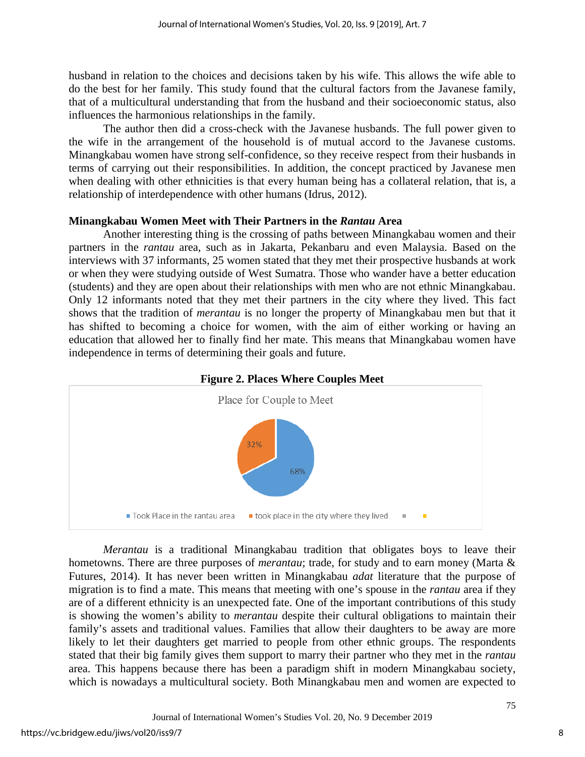husband in relation to the choices and decisions taken by his wife. This allows the wife able to do the best for her family. This study found that the cultural factors from the Javanese family, that of a multicultural understanding that from the husband and their socioeconomic status, also influences the harmonious relationships in the family.

The author then did a cross-check with the Javanese husbands. The full power given to the wife in the arrangement of the household is of mutual accord to the Javanese customs. Minangkabau women have strong self-confidence, so they receive respect from their husbands in terms of carrying out their responsibilities. In addition, the concept practiced by Javanese men when dealing with other ethnicities is that every human being has a collateral relation, that is, a relationship of interdependence with other humans (Idrus, 2012).

# **Minangkabau Women Meet with Their Partners in the** *Rantau* **Area**

Another interesting thing is the crossing of paths between Minangkabau women and their partners in the *rantau* area, such as in Jakarta, Pekanbaru and even Malaysia. Based on the interviews with 37 informants, 25 women stated that they met their prospective husbands at work or when they were studying outside of West Sumatra. Those who wander have a better education (students) and they are open about their relationships with men who are not ethnic Minangkabau. Only 12 informants noted that they met their partners in the city where they lived. This fact shows that the tradition of *merantau* is no longer the property of Minangkabau men but that it has shifted to becoming a choice for women, with the aim of either working or having an education that allowed her to finally find her mate. This means that Minangkabau women have independence in terms of determining their goals and future.



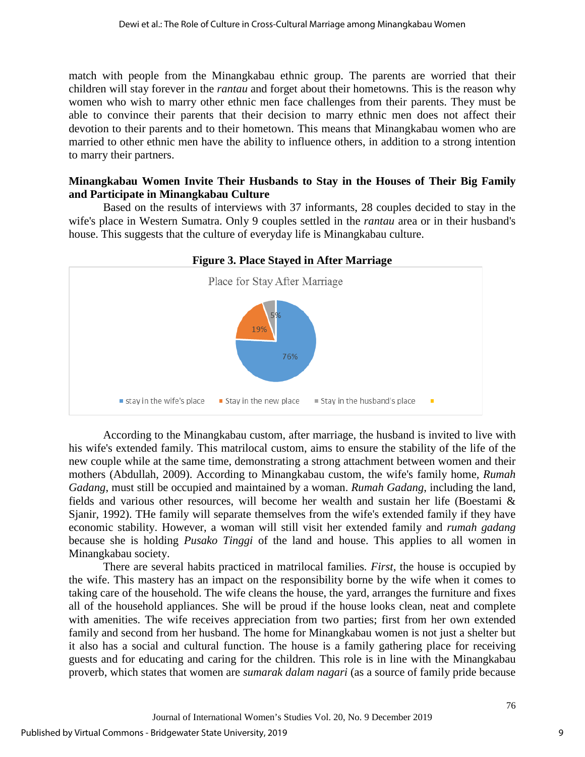match with people from the Minangkabau ethnic group. The parents are worried that their children will stay forever in the *rantau* and forget about their hometowns. This is the reason why women who wish to marry other ethnic men face challenges from their parents. They must be able to convince their parents that their decision to marry ethnic men does not affect their devotion to their parents and to their hometown. This means that Minangkabau women who are married to other ethnic men have the ability to influence others, in addition to a strong intention to marry their partners.

# **Minangkabau Women Invite Their Husbands to Stay in the Houses of Their Big Family and Participate in Minangkabau Culture**

Based on the results of interviews with 37 informants, 28 couples decided to stay in the wife's place in Western Sumatra. Only 9 couples settled in the *rantau* area or in their husband's house. This suggests that the culture of everyday life is Minangkabau culture.



According to the Minangkabau custom, after marriage, the husband is invited to live with his wife's extended family. This matrilocal custom, aims to ensure the stability of the life of the new couple while at the same time, demonstrating a strong attachment between women and their mothers (Abdullah, 2009). According to Minangkabau custom, the wife's family home, *Rumah Gadang*, must still be occupied and maintained by a woman. *Rumah Gadang*, including the land, fields and various other resources, will become her wealth and sustain her life (Boestami & Sjanir, 1992). THe family will separate themselves from the wife's extended family if they have economic stability. However, a woman will still visit her extended family and *rumah gadang* because she is holding *Pusako Tinggi* of the land and house. This applies to all women in Minangkabau society.

There are several habits practiced in matrilocal families*. First,* the house is occupied by the wife. This mastery has an impact on the responsibility borne by the wife when it comes to taking care of the household. The wife cleans the house, the yard, arranges the furniture and fixes all of the household appliances. She will be proud if the house looks clean, neat and complete with amenities. The wife receives appreciation from two parties; first from her own extended family and second from her husband. The home for Minangkabau women is not just a shelter but it also has a social and cultural function. The house is a family gathering place for receiving guests and for educating and caring for the children. This role is in line with the Minangkabau proverb, which states that women are *sumarak dalam nagari* (as a source of family pride because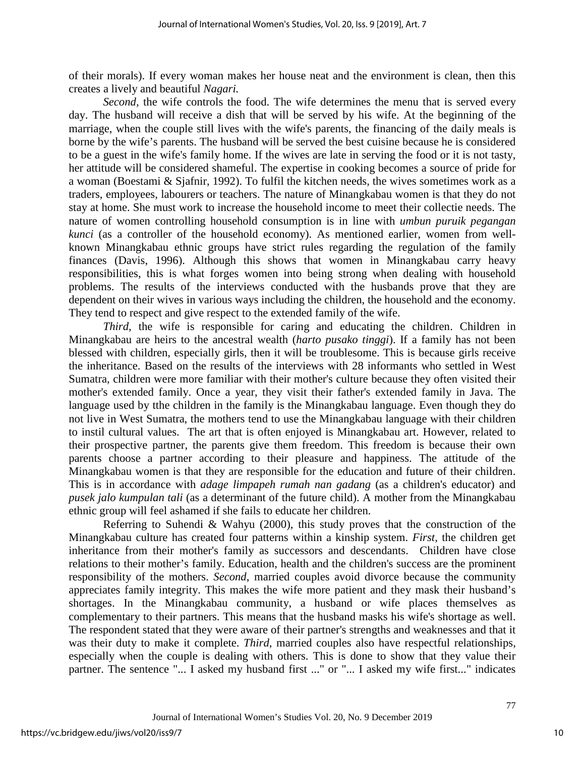of their morals). If every woman makes her house neat and the environment is clean, then this creates a lively and beautiful *Nagari.*

*Second,* the wife controls the food. The wife determines the menu that is served every day. The husband will receive a dish that will be served by his wife. At the beginning of the marriage, when the couple still lives with the wife's parents, the financing of the daily meals is borne by the wife's parents. The husband will be served the best cuisine because he is considered to be a guest in the wife's family home. If the wives are late in serving the food or it is not tasty, her attitude will be considered shameful. The expertise in cooking becomes a source of pride for a woman (Boestami & Sjafnir, 1992). To fulfil the kitchen needs, the wives sometimes work as a traders, employees, labourers or teachers. The nature of Minangkabau women is that they do not stay at home. She must work to increase the household income to meet their collectie needs. The nature of women controlling household consumption is in line with *umbun puruik pegangan kunci* (as a controller of the household economy). As mentioned earlier, women from wellknown Minangkabau ethnic groups have strict rules regarding the regulation of the family finances (Davis, 1996). Although this shows that women in Minangkabau carry heavy responsibilities, this is what forges women into being strong when dealing with household problems. The results of the interviews conducted with the husbands prove that they are dependent on their wives in various ways including the children, the household and the economy. They tend to respect and give respect to the extended family of the wife.

*Third,* the wife is responsible for caring and educating the children. Children in Minangkabau are heirs to the ancestral wealth (*harto pusako tinggi*). If a family has not been blessed with children, especially girls, then it will be troublesome. This is because girls receive the inheritance. Based on the results of the interviews with 28 informants who settled in West Sumatra, children were more familiar with their mother's culture because they often visited their mother's extended family. Once a year, they visit their father's extended family in Java. The language used by tthe children in the family is the Minangkabau language. Even though they do not live in West Sumatra, the mothers tend to use the Minangkabau language with their children to instil cultural values. The art that is often enjoyed is Minangkabau art. However, related to their prospective partner, the parents give them freedom. This freedom is because their own parents choose a partner according to their pleasure and happiness. The attitude of the Minangkabau women is that they are responsible for the education and future of their children. This is in accordance with *adage limpapeh rumah nan gadang* (as a children's educator) and *pusek jalo kumpulan tali* (as a determinant of the future child). A mother from the Minangkabau ethnic group will feel ashamed if she fails to educate her children.

Referring to Suhendi & Wahyu (2000), this study proves that the construction of the Minangkabau culture has created four patterns within a kinship system. *First,* the children get inheritance from their mother's family as successors and descendants. Children have close relations to their mother's family. Education, health and the children's success are the prominent responsibility of the mothers. *Second*, married couples avoid divorce because the community appreciates family integrity. This makes the wife more patient and they mask their husband's shortages. In the Minangkabau community, a husband or wife places themselves as complementary to their partners. This means that the husband masks his wife's shortage as well. The respondent stated that they were aware of their partner's strengths and weaknesses and that it was their duty to make it complete. *Third,* married couples also have respectful relationships, especially when the couple is dealing with others. This is done to show that they value their partner. The sentence "... I asked my husband first ..." or "... I asked my wife first..." indicates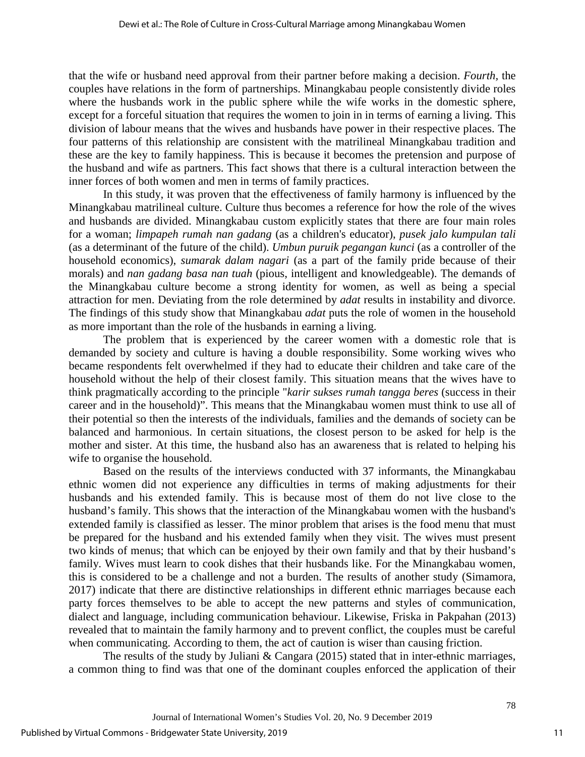that the wife or husband need approval from their partner before making a decision. *Fourth,* the couples have relations in the form of partnerships. Minangkabau people consistently divide roles where the husbands work in the public sphere while the wife works in the domestic sphere, except for a forceful situation that requires the women to join in in terms of earning a living. This division of labour means that the wives and husbands have power in their respective places. The four patterns of this relationship are consistent with the matrilineal Minangkabau tradition and these are the key to family happiness. This is because it becomes the pretension and purpose of the husband and wife as partners. This fact shows that there is a cultural interaction between the inner forces of both women and men in terms of family practices.

In this study, it was proven that the effectiveness of family harmony is influenced by the Minangkabau matrilineal culture. Culture thus becomes a reference for how the role of the wives and husbands are divided. Minangkabau custom explicitly states that there are four main roles for a woman; *limpapeh rumah nan gadang* (as a children's educator), *pusek jalo kumpulan tali* (as a determinant of the future of the child). *Umbun puruik pegangan kunci* (as a controller of the household economics), *sumarak dalam nagari* (as a part of the family pride because of their morals) and *nan gadang basa nan tuah* (pious, intelligent and knowledgeable). The demands of the Minangkabau culture become a strong identity for women, as well as being a special attraction for men. Deviating from the role determined by *adat* results in instability and divorce. The findings of this study show that Minangkabau *adat* puts the role of women in the household as more important than the role of the husbands in earning a living.

The problem that is experienced by the career women with a domestic role that is demanded by society and culture is having a double responsibility. Some working wives who became respondents felt overwhelmed if they had to educate their children and take care of the household without the help of their closest family. This situation means that the wives have to think pragmatically according to the principle "*karir sukses rumah tangga beres* (success in their career and in the household)". This means that the Minangkabau women must think to use all of their potential so then the interests of the individuals, families and the demands of society can be balanced and harmonious. In certain situations, the closest person to be asked for help is the mother and sister. At this time, the husband also has an awareness that is related to helping his wife to organise the household.

Based on the results of the interviews conducted with 37 informants, the Minangkabau ethnic women did not experience any difficulties in terms of making adjustments for their husbands and his extended family. This is because most of them do not live close to the husband's family. This shows that the interaction of the Minangkabau women with the husband's extended family is classified as lesser. The minor problem that arises is the food menu that must be prepared for the husband and his extended family when they visit. The wives must present two kinds of menus; that which can be enjoyed by their own family and that by their husband's family. Wives must learn to cook dishes that their husbands like. For the Minangkabau women, this is considered to be a challenge and not a burden. The results of another study (Simamora, 2017) indicate that there are distinctive relationships in different ethnic marriages because each party forces themselves to be able to accept the new patterns and styles of communication, dialect and language, including communication behaviour. Likewise, Friska in Pakpahan (2013) revealed that to maintain the family harmony and to prevent conflict, the couples must be careful when communicating. According to them, the act of caution is wiser than causing friction.

The results of the study by Juliani & Cangara (2015) stated that in inter-ethnic marriages, a common thing to find was that one of the dominant couples enforced the application of their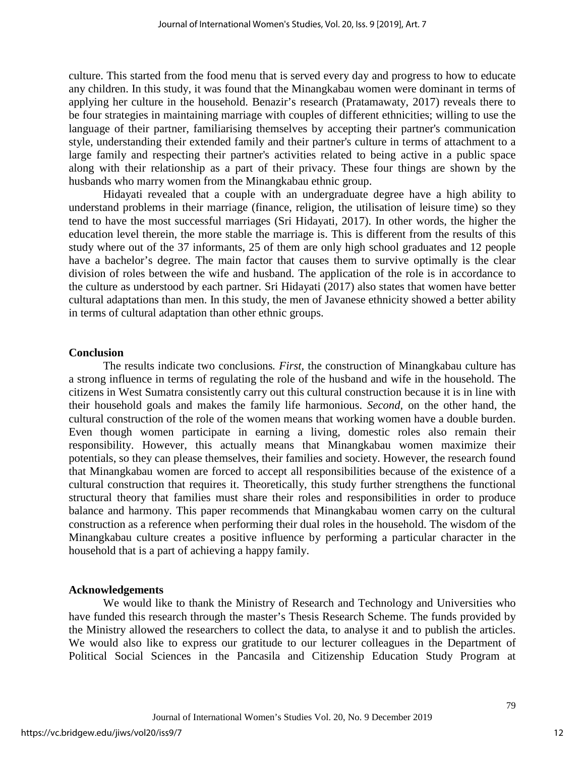culture. This started from the food menu that is served every day and progress to how to educate any children. In this study, it was found that the Minangkabau women were dominant in terms of applying her culture in the household. Benazir's research (Pratamawaty, 2017) reveals there to be four strategies in maintaining marriage with couples of different ethnicities; willing to use the language of their partner, familiarising themselves by accepting their partner's communication style, understanding their extended family and their partner's culture in terms of attachment to a large family and respecting their partner's activities related to being active in a public space along with their relationship as a part of their privacy. These four things are shown by the husbands who marry women from the Minangkabau ethnic group.

Hidayati revealed that a couple with an undergraduate degree have a high ability to understand problems in their marriage (finance, religion, the utilisation of leisure time) so they tend to have the most successful marriages (Sri Hidayati, 2017). In other words, the higher the education level therein, the more stable the marriage is. This is different from the results of this study where out of the 37 informants, 25 of them are only high school graduates and 12 people have a bachelor's degree. The main factor that causes them to survive optimally is the clear division of roles between the wife and husband. The application of the role is in accordance to the culture as understood by each partner. Sri Hidayati (2017) also states that women have better cultural adaptations than men. In this study, the men of Javanese ethnicity showed a better ability in terms of cultural adaptation than other ethnic groups.

### **Conclusion**

The results indicate two conclusions*. First,* the construction of Minangkabau culture has a strong influence in terms of regulating the role of the husband and wife in the household. The citizens in West Sumatra consistently carry out this cultural construction because it is in line with their household goals and makes the family life harmonious. *Second,* on the other hand, the cultural construction of the role of the women means that working women have a double burden. Even though women participate in earning a living, domestic roles also remain their responsibility. However, this actually means that Minangkabau women maximize their potentials, so they can please themselves, their families and society. However, the research found that Minangkabau women are forced to accept all responsibilities because of the existence of a cultural construction that requires it. Theoretically, this study further strengthens the functional structural theory that families must share their roles and responsibilities in order to produce balance and harmony. This paper recommends that Minangkabau women carry on the cultural construction as a reference when performing their dual roles in the household. The wisdom of the Minangkabau culture creates a positive influence by performing a particular character in the household that is a part of achieving a happy family.

# **Acknowledgements**

We would like to thank the Ministry of Research and Technology and Universities who have funded this research through the master's Thesis Research Scheme. The funds provided by the Ministry allowed the researchers to collect the data, to analyse it and to publish the articles. We would also like to express our gratitude to our lecturer colleagues in the Department of Political Social Sciences in the Pancasila and Citizenship Education Study Program at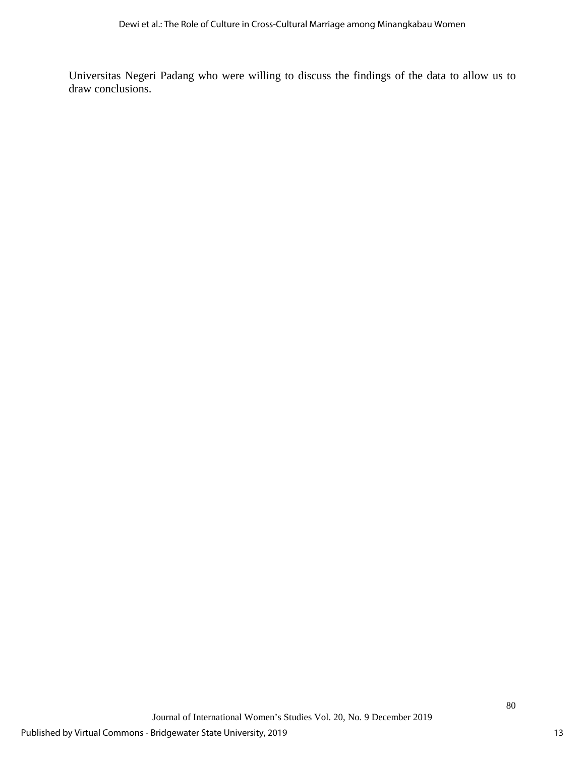Universitas Negeri Padang who were willing to discuss the findings of the data to allow us to draw conclusions.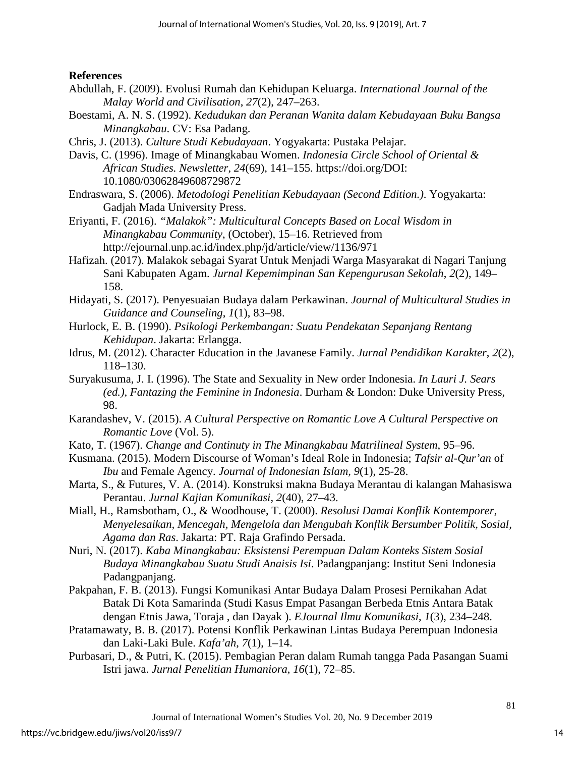# **References**

- Abdullah, F. (2009). Evolusi Rumah dan Kehidupan Keluarga. *International Journal of the Malay World and Civilisation*, *27*(2), 247–263.
- Boestami, A. N. S. (1992). *Kedudukan dan Peranan Wanita dalam Kebudayaan Buku Bangsa Minangkabau*. CV: Esa Padang.
- Chris, J. (2013). *Culture Studi Kebudayaan*. Yogyakarta: Pustaka Pelajar.
- Davis, C. (1996). Image of Minangkabau Women. *Indonesia Circle School of Oriental & African Studies. Newsletter*, *24*(69), 141–155. https://doi.org/DOI: 10.1080/03062849608729872
- Endraswara, S. (2006). *Metodologi Penelitian Kebudayaan (Second Edition.)*. Yogyakarta: Gadjah Mada University Press.
- Eriyanti, F. (2016). *"Malakok": Multicultural Concepts Based on Local Wisdom in Minangkabau Community*, (October), 15–16. Retrieved from <http://ejournal.unp.ac.id/index.php/jd/article/view/1136/971>
- Hafizah. (2017). Malakok sebagai Syarat Untuk Menjadi Warga Masyarakat di Nagari Tanjung Sani Kabupaten Agam. *Jurnal Kepemimpinan San Kepengurusan Sekolah*, *2*(2), 149– 158.
- Hidayati, S. (2017). Penyesuaian Budaya dalam Perkawinan. *Journal of Multicultural Studies in Guidance and Counseling*, *1*(1), 83–98.
- Hurlock, E. B. (1990). *Psikologi Perkembangan: Suatu Pendekatan Sepanjang Rentang Kehidupan*. Jakarta: Erlangga.
- Idrus, M. (2012). Character Education in the Javanese Family. *Jurnal Pendidikan Karakter*, *2*(2), 118–130.
- Suryakusuma, J. I. (1996). The State and Sexuality in New order Indonesia. *In Lauri J. Sears (ed.), Fantazing the Feminine in Indonesia*. Durham & London: Duke University Press, 98.
- Karandashev, V. (2015). *A Cultural Perspective on Romantic Love A Cultural Perspective on Romantic Love* (Vol. 5).
- Kato, T. (1967). *Change and Continuty in The Minangkabau Matrilineal System*, 95–96.
- Kusmana. (2015). Modern Discourse of Woman's Ideal Role in Indonesia; *Tafsir al-Qur'an* of *Ibu* and Female Agency. *Journal of Indonesian Islam, 9*(1), 25-28.
- Marta, S., & Futures, V. A. (2014). Konstruksi makna Budaya Merantau di kalangan Mahasiswa Perantau. *Jurnal Kajian Komunikasi*, *2*(40), 27–43.
- Miall, H., Ramsbotham, O., & Woodhouse, T. (2000). *Resolusi Damai Konflik Kontemporer, Menyelesaikan, Mencegah, Mengelola dan Mengubah Konflik Bersumber Politik, Sosial, Agama dan Ras*. Jakarta: PT. Raja Grafindo Persada.
- Nuri, N. (2017). *Kaba Minangkabau: Eksistensi Perempuan Dalam Konteks Sistem Sosial Budaya Minangkabau Suatu Studi Anaisis Isi*. Padangpanjang: Institut Seni Indonesia Padangpanjang.
- Pakpahan, F. B. (2013). Fungsi Komunikasi Antar Budaya Dalam Prosesi Pernikahan Adat Batak Di Kota Samarinda (Studi Kasus Empat Pasangan Berbeda Etnis Antara Batak dengan Etnis Jawa, Toraja , dan Dayak ). *EJournal Ilmu Komunikasi*, *1*(3), 234–248.
- Pratamawaty, B. B. (2017). Potensi Konflik Perkawinan Lintas Budaya Perempuan Indonesia dan Laki-Laki Bule. *Kafa'ah*, *7*(1), 1–14.
- Purbasari, D., & Putri, K. (2015). Pembagian Peran dalam Rumah tangga Pada Pasangan Suami Istri jawa. *Jurnal Penelitian Humaniora*, *16*(1), 72–85.